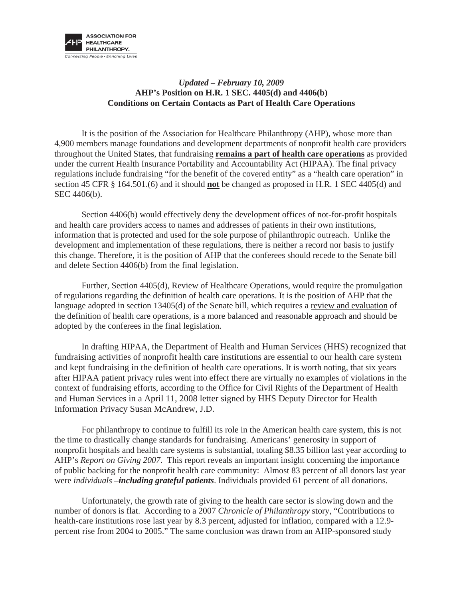

## *Updated – February 10, 2009*  **AHP's Position on H.R. 1 SEC. 4405(d) and 4406(b) Conditions on Certain Contacts as Part of Health Care Operations**

It is the position of the Association for Healthcare Philanthropy (AHP), whose more than 4,900 members manage foundations and development departments of nonprofit health care providers throughout the United States, that fundraising **remains a part of health care operations** as provided under the current Health Insurance Portability and Accountability Act (HIPAA). The final privacy regulations include fundraising "for the benefit of the covered entity" as a "health care operation" in section 45 CFR § 164.501.(6) and it should **not** be changed as proposed in H.R. 1 SEC 4405(d) and SEC 4406(b).

Section 4406(b) would effectively deny the development offices of not-for-profit hospitals and health care providers access to names and addresses of patients in their own institutions, information that is protected and used for the sole purpose of philanthropic outreach. Unlike the development and implementation of these regulations, there is neither a record nor basis to justify this change. Therefore, it is the position of AHP that the conferees should recede to the Senate bill and delete Section 4406(b) from the final legislation.

Further, Section 4405(d), Review of Healthcare Operations, would require the promulgation of regulations regarding the definition of health care operations. It is the position of AHP that the language adopted in section 13405(d) of the Senate bill, which requires a review and evaluation of the definition of health care operations, is a more balanced and reasonable approach and should be adopted by the conferees in the final legislation.

In drafting HIPAA, the Department of Health and Human Services (HHS) recognized that fundraising activities of nonprofit health care institutions are essential to our health care system and kept fundraising in the definition of health care operations. It is worth noting, that six years after HIPAA patient privacy rules went into effect there are virtually no examples of violations in the context of fundraising efforts, according to the Office for Civil Rights of the Department of Health and Human Services in a April 11, 2008 letter signed by HHS Deputy Director for Health Information Privacy Susan McAndrew, J.D.

For philanthropy to continue to fulfill its role in the American health care system, this is not the time to drastically change standards for fundraising. Americans' generosity in support of nonprofit hospitals and health care systems is substantial, totaling \$8.35 billion last year according to AHP's *Report on Giving 2007*. This report reveals an important insight concerning the importance of public backing for the nonprofit health care community: Almost 83 percent of all donors last year were *individuals* –*including grateful patients*. Individuals provided 61 percent of all donations.

Unfortunately, the growth rate of giving to the health care sector is slowing down and the number of donors is flat. According to a 2007 *Chronicle of Philanthropy* story, "Contributions to health-care institutions rose last year by 8.3 percent, adjusted for inflation, compared with a 12.9 percent rise from 2004 to 2005." The same conclusion was drawn from an AHP-sponsored study